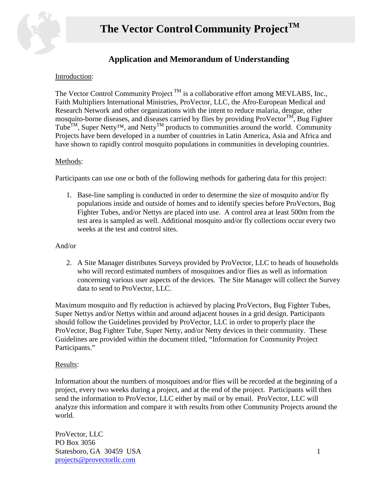

### **Application and Memorandum of Understanding**

### Introduction:

The Vector Control Community Project<sup>TM</sup> is a collaborative effort among MEVLABS, Inc., Faith Multipliers International Ministries, ProVector, LLC, the Afro-European Medical and Research Network and other organizations with the intent to reduce malaria, dengue, other mosquito-borne diseases, and diseases carried by flies by providing  $ProVector^{TM}$ , Bug Fighter Tube<sup>TM</sup>, Super Netty<sup>TM</sup>, and Netty<sup>TM</sup> products to communities around the world. Community Projects have been developed in a number of countries in Latin America, Asia and Africa and have shown to rapidly control mosquito populations in communities in developing countries.

### Methods:

Participants can use one or both of the following methods for gathering data for this project:

1. Base-line sampling is conducted in order to determine the size of mosquito and/or fly populations inside and outside of homes and to identify species before ProVectors, Bug Fighter Tubes, and/or Nettys are placed into use. A control area at least 500m from the test area is sampled as well. Additional mosquito and/or fly collections occur every two weeks at the test and control sites.

#### And/or

2. A Site Manager distributes Surveys provided by ProVector, LLC to heads of households who will record estimated numbers of mosquitoes and/or flies as well as information concerning various user aspects of the devices. The Site Manager will collect the Survey data to send to ProVector, LLC.

Maximum mosquito and fly reduction is achieved by placing ProVectors, Bug Fighter Tubes, Super Nettys and/or Nettys within and around adjacent houses in a grid design. Participants should follow the Guidelines provided by ProVector, LLC in order to properly place the ProVector, Bug Fighter Tube, Super Netty, and/or Netty devices in their community. These Guidelines are provided within the document titled, "Information for Community Project Participants."

### Results:

Information about the numbers of mosquitoes and/or flies will be recorded at the beginning of a project, every two weeks during a project, and at the end of the project. Participants will then send the information to ProVector, LLC either by mail or by email. ProVector, LLC will analyze this information and compare it with results from other Community Projects around the world.

ProVector, LLC PO Box 3056 Statesboro, GA 30459 USA 1 [projects@provectorllc.com](mailto:projects@provectorllc.com)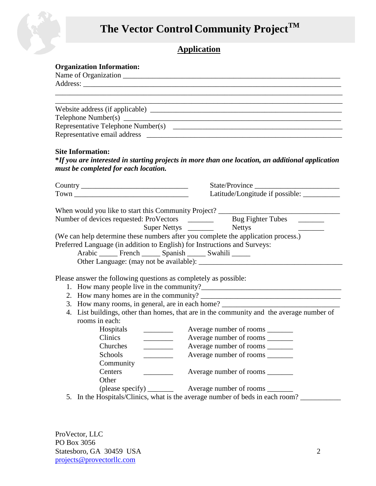# **The Vector Control Community ProjectTM**



### **Organization Information:**

| <b>Site Information:</b>                                         |                                                                                                                                                                                                                                                                                                                      |
|------------------------------------------------------------------|----------------------------------------------------------------------------------------------------------------------------------------------------------------------------------------------------------------------------------------------------------------------------------------------------------------------|
|                                                                  | *If you are interested in starting projects in more than one location, an additional application                                                                                                                                                                                                                     |
| must be completed for each location.                             |                                                                                                                                                                                                                                                                                                                      |
|                                                                  | State/Province                                                                                                                                                                                                                                                                                                       |
|                                                                  |                                                                                                                                                                                                                                                                                                                      |
| Please answer the following questions as completely as possible: | When would you like to start this Community Project? ____________________________<br>(We can help determine these numbers after you complete the application process.)<br>Preferred Language (in addition to English) for Instructions and Surveys:<br>Arabic _______ French _______ Spanish _______ Swahili _______ |
|                                                                  |                                                                                                                                                                                                                                                                                                                      |
|                                                                  |                                                                                                                                                                                                                                                                                                                      |
|                                                                  | 3. How many rooms, in general, are in each home? ________________________________                                                                                                                                                                                                                                    |
| rooms in each:                                                   | 4. List buildings, other than homes, that are in the community and the average number of                                                                                                                                                                                                                             |
|                                                                  |                                                                                                                                                                                                                                                                                                                      |
| Clinics                                                          | Average number of rooms ________                                                                                                                                                                                                                                                                                     |
| Churches                                                         | Average number of rooms                                                                                                                                                                                                                                                                                              |
| Schools                                                          |                                                                                                                                                                                                                                                                                                                      |
| Community                                                        |                                                                                                                                                                                                                                                                                                                      |
| Centers                                                          | Average number of rooms ________                                                                                                                                                                                                                                                                                     |
| Other                                                            |                                                                                                                                                                                                                                                                                                                      |
|                                                                  |                                                                                                                                                                                                                                                                                                                      |
|                                                                  | 5. In the Hospitals/Clinics, what is the average number of beds in each room?                                                                                                                                                                                                                                        |

ProVector, LLC PO Box 3056 Statesboro, GA 30459 USA 2 [projects@provectorllc.com](mailto:projects@provectorllc.com)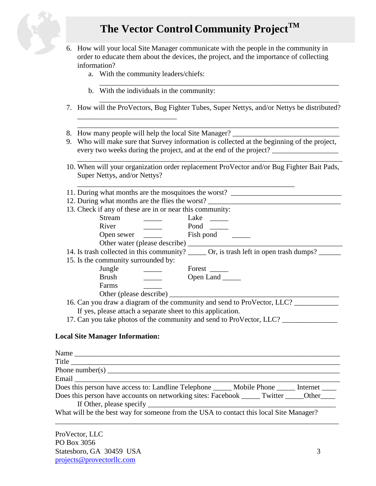# **The Vector Control Community ProjectTM**



- 6. How will your local Site Manager communicate with the people in the community in order to educate them about the devices, the project, and the importance of collecting information?
- a. With the community leaders/chiefs: \_\_\_\_\_\_\_\_\_\_\_\_\_\_\_\_\_\_\_\_\_\_\_\_\_\_\_\_\_\_\_\_\_\_\_\_\_\_\_\_\_\_\_\_\_\_\_\_\_\_\_\_\_\_\_\_\_\_\_\_\_\_\_\_\_ b. With the individuals in the community: \_\_\_\_\_\_\_\_\_\_\_\_\_\_\_\_\_\_\_\_\_\_\_\_\_\_\_\_\_\_\_\_\_\_\_\_\_\_\_\_\_\_\_\_\_\_\_\_\_\_\_\_\_\_\_\_\_\_\_\_\_\_\_\_\_ 7. How will the ProVectors, Bug Fighter Tubes, Super Nettys, and/or Nettys be distributed? \_\_\_\_\_\_\_\_\_\_\_\_\_\_\_\_\_\_\_\_\_\_\_\_\_\_\_ \_\_\_\_\_\_\_\_\_\_\_\_\_\_\_\_\_\_\_\_\_\_\_\_\_\_\_\_\_\_\_\_\_\_\_\_\_\_\_\_\_\_\_\_\_\_\_\_\_\_\_\_\_\_\_\_\_\_\_\_\_\_\_\_\_\_\_\_\_\_\_ 8. How many people will help the local Site Manager? 9. Who will make sure that Survey information is collected at the beginning of the project, every two weeks during the project, and at the end of the project? \_\_\_\_\_\_\_\_\_\_\_\_\_\_\_\_\_\_\_\_\_\_\_\_\_\_\_\_\_\_\_\_\_\_\_\_\_\_\_\_\_\_\_\_\_\_\_\_\_\_\_\_\_\_\_\_\_\_\_\_\_\_\_\_\_\_\_\_\_\_\_\_ 10. When will your organization order replacement ProVector and/or Bug Fighter Bait Pads, Super Nettys, and/or Nettys? \_\_\_\_\_\_\_\_\_\_\_\_\_\_\_\_\_\_\_\_\_\_\_\_\_\_\_\_\_\_\_\_\_\_\_\_\_\_\_\_\_\_\_\_\_\_\_\_\_\_\_\_\_\_\_\_\_\_\_ 11. During what months are the mosquitoes the worst? 12. During what months are the flies the worst? 13. Check if any of these are in or near this community: Stream Lake River Pond Open sewer Fish pond Other water (please describe) \_\_\_\_\_\_\_\_\_\_\_\_\_\_\_\_\_\_\_\_\_\_\_\_\_\_\_\_\_\_\_\_\_\_\_\_\_\_\_\_\_\_ 14. Is trash collected in this community? \_\_\_\_\_\_ Or, is trash left in open trash dumps? \_\_\_\_\_\_ 15. Is the community surrounded by: Jungle  $\qquad \qquad \qquad$  Forest \_\_\_\_\_\_ Brush \_\_\_\_\_ Open Land \_\_\_\_\_ Farms \_\_\_\_\_ Other (please describe) 16. Can you draw a diagram of the community and send to ProVector, LLC? If yes, please attach a separate sheet to this application. 17. Can you take photos of the community and send to ProVector, LLC? \_\_\_\_\_\_\_\_\_\_\_\_\_\_\_

### **Local Site Manager Information:**

| Name                                                                                                                                                                                                                                                                                                              |  |
|-------------------------------------------------------------------------------------------------------------------------------------------------------------------------------------------------------------------------------------------------------------------------------------------------------------------|--|
| Title                                                                                                                                                                                                                                                                                                             |  |
| Phone number(s) $\frac{1}{2}$ $\frac{1}{2}$ $\frac{1}{2}$ $\frac{1}{2}$ $\frac{1}{2}$ $\frac{1}{2}$ $\frac{1}{2}$ $\frac{1}{2}$ $\frac{1}{2}$ $\frac{1}{2}$ $\frac{1}{2}$ $\frac{1}{2}$ $\frac{1}{2}$ $\frac{1}{2}$ $\frac{1}{2}$ $\frac{1}{2}$ $\frac{1}{2}$ $\frac{1}{2}$ $\frac{1}{2}$ $\frac{1}{2}$ $\frac{1$ |  |
|                                                                                                                                                                                                                                                                                                                   |  |
| Does this person have access to: Landline Telephone ______ Mobile Phone ______ Internet _____                                                                                                                                                                                                                     |  |
| Does this person have accounts on networking sites: Facebook _______ Twitter ______ Other                                                                                                                                                                                                                         |  |
|                                                                                                                                                                                                                                                                                                                   |  |
| What will be the best way for someone from the USA to contact this local Site Manager?                                                                                                                                                                                                                            |  |
|                                                                                                                                                                                                                                                                                                                   |  |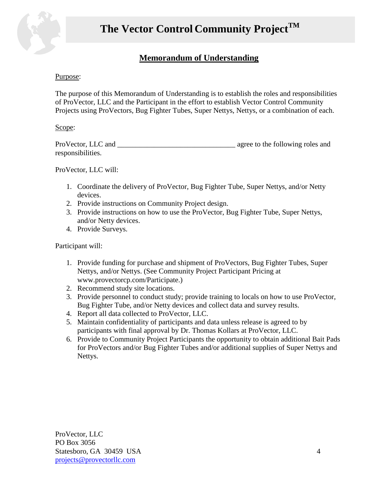

### **Memorandum of Understanding**

### Purpose:

The purpose of this Memorandum of Understanding is to establish the roles and responsibilities of ProVector, LLC and the Participant in the effort to establish Vector Control Community Projects using ProVectors, Bug Fighter Tubes, Super Nettys, Nettys, or a combination of each.

#### Scope:

| ProVector, LLC and | agree to the following roles and |
|--------------------|----------------------------------|
| responsibilities.  |                                  |

ProVector, LLC will:

- 1. Coordinate the delivery of ProVector, Bug Fighter Tube, Super Nettys, and/or Netty devices.
- 2. Provide instructions on Community Project design.
- 3. Provide instructions on how to use the ProVector, Bug Fighter Tube, Super Nettys, and/or Netty devices.
- 4. Provide Surveys.

Participant will:

- 1. Provide funding for purchase and shipment of ProVectors, Bug Fighter Tubes, Super Nettys, and/or Nettys. (See Community Project Participant Pricing at www.provectorcp.com/Participate.)
- 2. Recommend study site locations.
- 3. Provide personnel to conduct study; provide training to locals on how to use ProVector, Bug Fighter Tube, and/or Netty devices and collect data and survey results.
- 4. Report all data collected to ProVector, LLC.
- 5. Maintain confidentiality of participants and data unless release is agreed to by participants with final approval by Dr. Thomas Kollars at ProVector, LLC.
- 6. Provide to Community Project Participants the opportunity to obtain additional Bait Pads for ProVectors and/or Bug Fighter Tubes and/or additional supplies of Super Nettys and Nettys.